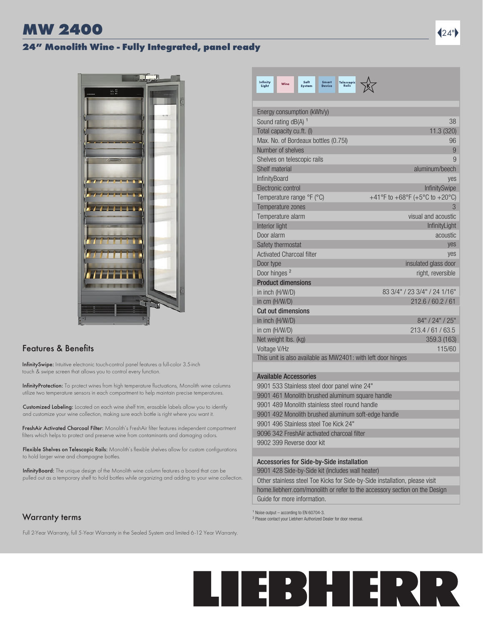# 24" Monolith Wine - Fully Integrated, panel ready



### **Features & Benefits**

InfinitySwipe: Intuitive electronic touch-control panel features a full-color 3.5-inch touch & swipe screen that allows you to control every function.

InfinityProtection: To protect wines from high temperature fluctuations, Monolith wine columns utilize two temperature sensors in each compartment to help maintain precise temperatures.

Customized Labeling: Located on each wine shelf trim, erasable labels allow you to identify and customize your wine collection, making sure each bottle is right where you want it.

FreshAir Activated Charcoal Filter: Monolith's FreshAir filter features independent compartment filters which helps to protect and preserve wine from contaminants and damaging odors.

Flexible Shelves on Telescopic Rails: Monolith's flexible shelves allow for custom configurations to hold larger wine and champagne bottles.

InfinityBoard: The unique design of the Monolith wine column features a board that can be pulled out as a temporary shelf to hold bottles while organizing and adding to your wine collection.

## Warranty terms

Full 2-Year Warranty, full 5-Year Warranty in the Sealed System and limited 6-12 Year Warranty.

| Infinity<br>Soft<br><b>Smart</b><br><b>Telescopic</b><br>Wine<br>Light<br><b>System</b><br>Device<br><b>Raile</b> |                                |
|-------------------------------------------------------------------------------------------------------------------|--------------------------------|
| Energy consumption (kWh/y)                                                                                        |                                |
| Sound rating dB(A) 1                                                                                              | 38                             |
| Total capacity cu.ft. (I)                                                                                         | 11.3 (320)                     |
| Max. No. of Bordeaux bottles (0.75I)                                                                              | 96                             |
| Number of shelves                                                                                                 | 9                              |
| Shelves on telescopic rails                                                                                       | 9                              |
| Shelf material                                                                                                    | aluminum/beech                 |
| InfinityBoard                                                                                                     | ves                            |
| Flectronic control                                                                                                | InfinitySwipe                  |
| Temperature range °F (°C)                                                                                         | +41°F to +68°F (+5°C to +20°C) |
| Temperature zones                                                                                                 | 3                              |
| Temperature alarm                                                                                                 | visual and acoustic            |
| Interior light                                                                                                    | InfinityLight                  |
| Door alarm                                                                                                        | acoustic                       |
| Safety thermostat                                                                                                 | ves                            |
| <b>Activated Charcoal filter</b>                                                                                  | yes                            |
| Door type                                                                                                         | insulated glass door           |
| Door hinges <sup>2</sup>                                                                                          | right, reversible              |
| <b>Product dimensions</b>                                                                                         |                                |
| in inch (H/W/D)                                                                                                   | 83 3/4" / 23 3/4" / 24 1/16"   |
| in cm (H/W/D)                                                                                                     | 212.6 / 60.2 / 61              |
| <b>Cut out dimensions</b>                                                                                         |                                |
| in inch (H/W/D)                                                                                                   | 84" / 24" / 25"                |
| in cm (H/W/D)                                                                                                     | 213.4/61/63.5                  |
| Net weight lbs. (kg)                                                                                              | 359.3 (163)                    |
| Voltage V/Hz                                                                                                      | 115/60                         |
| This unit is also available as MW2401: with left door hinges                                                      |                                |
| <b>Available Accessories</b>                                                                                      |                                |

9901 533 Stainless steel door panel wine 24" 9901 461 Monolith brushed aluminum square handle 9901 489 Monolith stainless steel round handle 9901 492 Monolith brushed aluminum soft-edge handle 9901 496 Stainless steel Toe Kick 24" 9096 342 FreshAir activated charcoal filter 9902 399 Reverse door kit

### Accessories for Side-by-Side installation

9901 428 Side-by-Side kit (includes wall heater)

Other stainless steel Toe Kicks for Side-by-Side installation, please visit home.liebherr.com/monolith or refer to the accessory section on the Design Guide for more information.

 $1$  Noise output – according to EN 60704-3.

² Please contact your Liebherr Authorized Dealer for door reversal.